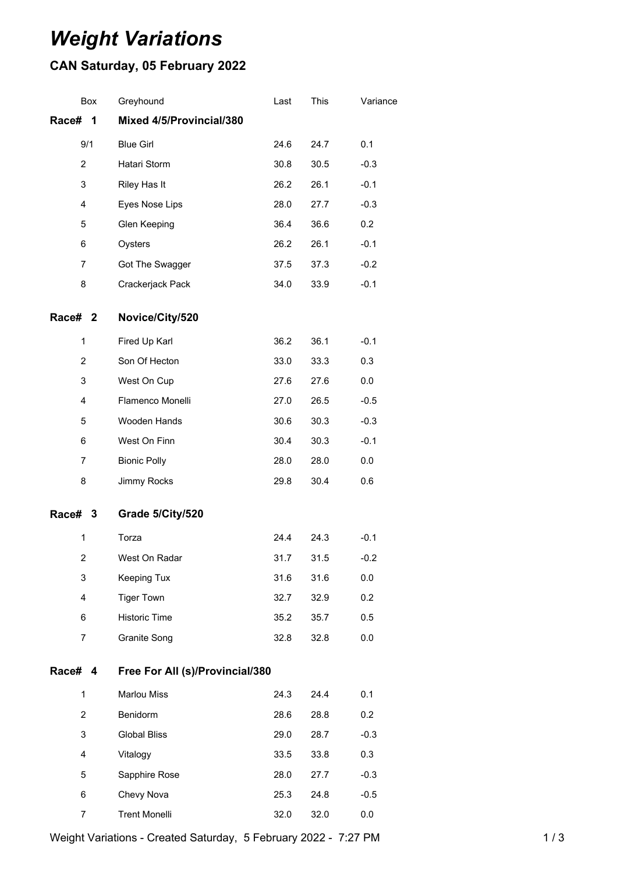## *Weight Variations*

## **CAN Saturday, 05 February 2022**

|                | Box | Greyhound                       | Last | This | Variance |  |
|----------------|-----|---------------------------------|------|------|----------|--|
| Race#          | 1   | Mixed 4/5/Provincial/380        |      |      |          |  |
|                | 9/1 | <b>Blue Girl</b>                | 24.6 | 24.7 | 0.1      |  |
| $\overline{2}$ |     | Hatari Storm                    | 30.8 | 30.5 | $-0.3$   |  |
| 3              |     | Riley Has It                    | 26.2 | 26.1 | $-0.1$   |  |
| 4              |     | Eyes Nose Lips                  | 28.0 | 27.7 | $-0.3$   |  |
| 5              |     | Glen Keeping                    | 36.4 | 36.6 | 0.2      |  |
| 6              |     | Oysters                         | 26.2 | 26.1 | $-0.1$   |  |
| 7              |     | Got The Swagger                 | 37.5 | 37.3 | $-0.2$   |  |
| 8              |     | Crackerjack Pack                | 34.0 | 33.9 | $-0.1$   |  |
| Race# 2        |     | Novice/City/520                 |      |      |          |  |
| 1              |     | Fired Up Karl                   | 36.2 | 36.1 | $-0.1$   |  |
| 2              |     | Son Of Hecton                   | 33.0 | 33.3 | 0.3      |  |
| 3              |     | West On Cup                     | 27.6 | 27.6 | 0.0      |  |
| $\overline{4}$ |     | Flamenco Monelli                | 27.0 | 26.5 | $-0.5$   |  |
| 5              |     | Wooden Hands                    | 30.6 | 30.3 | $-0.3$   |  |
| 6              |     | West On Finn                    | 30.4 | 30.3 | $-0.1$   |  |
| $\overline{7}$ |     | <b>Bionic Polly</b>             | 28.0 | 28.0 | 0.0      |  |
| 8              |     | Jimmy Rocks                     | 29.8 | 30.4 | 0.6      |  |
| Race# 3        |     | Grade 5/City/520                |      |      |          |  |
| 1              |     | Torza                           | 24.4 | 24.3 | $-0.1$   |  |
| 2              |     | West On Radar                   | 31.7 | 31.5 | $-0.2$   |  |
| 3              |     | Keeping Tux                     | 31.6 | 31.6 | 0.0      |  |
| 4              |     | <b>Tiger Town</b>               | 32.7 | 32.9 | 0.2      |  |
| 6              |     | Historic Time                   | 35.2 | 35.7 | 0.5      |  |
| 7              |     | Granite Song                    | 32.8 | 32.8 | 0.0      |  |
| Race# 4        |     | Free For All (s)/Provincial/380 |      |      |          |  |
| $\mathbf{1}$   |     | <b>Marlou Miss</b>              | 24.3 | 24.4 | 0.1      |  |
| $\overline{2}$ |     | Benidorm                        | 28.6 | 28.8 | 0.2      |  |
| 3              |     | <b>Global Bliss</b>             | 29.0 | 28.7 | $-0.3$   |  |
| 4              |     | Vitalogy                        | 33.5 | 33.8 | 0.3      |  |
| 5              |     | Sapphire Rose                   | 28.0 | 27.7 | $-0.3$   |  |
| 6              |     | Chevy Nova                      | 25.3 | 24.8 | $-0.5$   |  |
| 7              |     | <b>Trent Monelli</b>            | 32.0 | 32.0 | 0.0      |  |
|                |     |                                 |      |      |          |  |

Weight Variations - Created Saturday, 5 February 2022 - 7:27 PM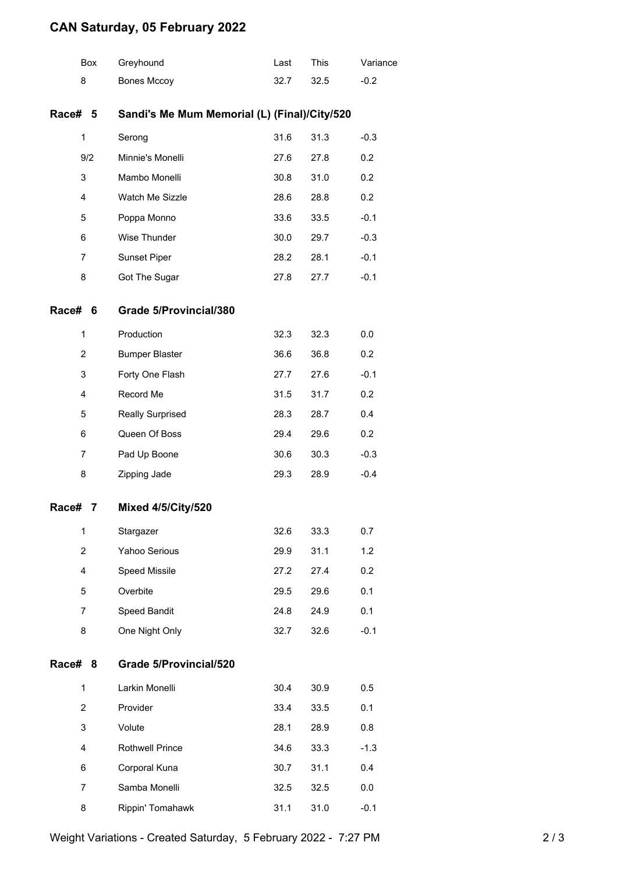## **CAN Saturday, 05 February 2022**

|         | <b>Box</b>     | Greyhound                                    | Last | This | Variance |  |  |  |
|---------|----------------|----------------------------------------------|------|------|----------|--|--|--|
| 8       |                | <b>Bones Mccoy</b>                           | 32.7 | 32.5 | $-0.2$   |  |  |  |
| Race# 5 |                | Sandi's Me Mum Memorial (L) (Final)/City/520 |      |      |          |  |  |  |
| 1       |                | Serong                                       | 31.6 | 31.3 | $-0.3$   |  |  |  |
|         | 9/2            | Minnie's Monelli                             | 27.6 | 27.8 | 0.2      |  |  |  |
| 3       |                | Mambo Monelli                                | 30.8 | 31.0 | 0.2      |  |  |  |
| 4       |                | Watch Me Sizzle                              | 28.6 | 28.8 | 0.2      |  |  |  |
| 5       |                | Poppa Monno                                  | 33.6 | 33.5 | $-0.1$   |  |  |  |
| 6       |                | Wise Thunder                                 | 30.0 | 29.7 | $-0.3$   |  |  |  |
| 7       |                | Sunset Piper                                 | 28.2 | 28.1 | $-0.1$   |  |  |  |
| 8       |                | Got The Sugar                                | 27.8 | 27.7 | $-0.1$   |  |  |  |
| Race#   | 6              | Grade 5/Provincial/380                       |      |      |          |  |  |  |
| 1       |                | Production                                   | 32.3 | 32.3 | 0.0      |  |  |  |
|         | $\overline{2}$ | <b>Bumper Blaster</b>                        | 36.6 | 36.8 | 0.2      |  |  |  |
| 3       |                | Forty One Flash                              | 27.7 | 27.6 | $-0.1$   |  |  |  |
| 4       |                | Record Me                                    | 31.5 | 31.7 | 0.2      |  |  |  |
| 5       |                | <b>Really Surprised</b>                      | 28.3 | 28.7 | 0.4      |  |  |  |
| 6       |                | Queen Of Boss                                | 29.4 | 29.6 | 0.2      |  |  |  |
|         | $\overline{7}$ | Pad Up Boone                                 | 30.6 | 30.3 | $-0.3$   |  |  |  |
| 8       |                | Zipping Jade                                 | 29.3 | 28.9 | $-0.4$   |  |  |  |
| Race#   | 7              | <b>Mixed 4/5/City/520</b>                    |      |      |          |  |  |  |
| 1       |                | Stargazer                                    | 32.6 | 33.3 | 0.7      |  |  |  |
|         | $\overline{2}$ | Yahoo Serious                                | 29.9 | 31.1 | 1.2      |  |  |  |
|         | 4              | Speed Missile                                | 27.2 | 27.4 | 0.2      |  |  |  |
| 5       |                | Overbite                                     | 29.5 | 29.6 | 0.1      |  |  |  |
| 7       |                | Speed Bandit                                 | 24.8 | 24.9 | 0.1      |  |  |  |
| 8       |                | One Night Only                               | 32.7 | 32.6 | $-0.1$   |  |  |  |
| Race#   | 8              | <b>Grade 5/Provincial/520</b>                |      |      |          |  |  |  |
| 1       |                | Larkin Monelli                               | 30.4 | 30.9 | 0.5      |  |  |  |
|         | $\overline{2}$ | Provider                                     | 33.4 | 33.5 | 0.1      |  |  |  |
| 3       |                | Volute                                       | 28.1 | 28.9 | 0.8      |  |  |  |
|         | 4              | <b>Rothwell Prince</b>                       | 34.6 | 33.3 | $-1.3$   |  |  |  |
| 6       |                | Corporal Kuna                                | 30.7 | 31.1 | 0.4      |  |  |  |
| 7       |                | Samba Monelli                                | 32.5 | 32.5 | 0.0      |  |  |  |
|         | 8              | Rippin' Tomahawk                             | 31.1 | 31.0 | $-0.1$   |  |  |  |